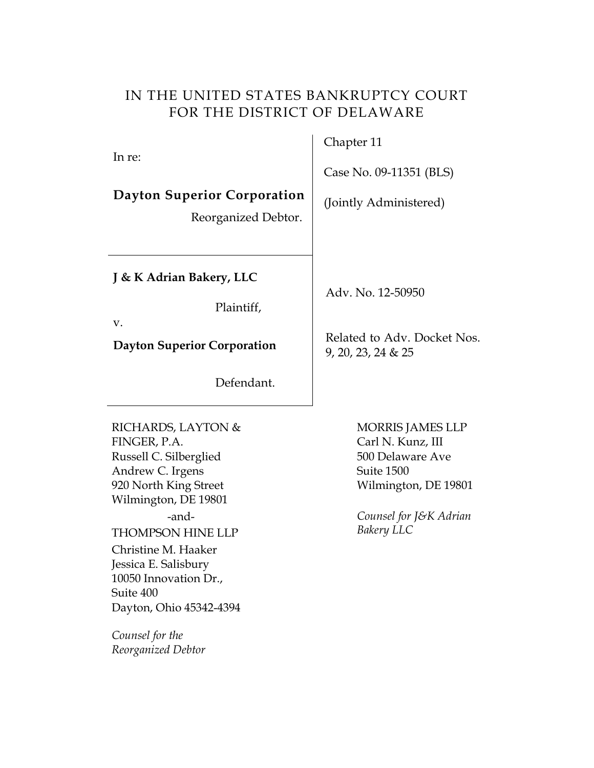## IN THE UNITED STATES BANKRUPTCY COURT FOR THE DISTRICT OF DELAWARE

In re:

# **Dayton Superior Corporation** (Jointly Administered)

Reorganized Debtor.

**J & K Adrian Bakery, LLC**

Plaintiff,

v.

Defendant.

RICHARDS, LAYTON & FINGER, P.A. Russell C. Silberglied Andrew C. Irgens 920 North King Street Wilmington, DE 19801 -and-THOMPSON HINE LLP Christine M. Haaker Jessica E. Salisbury 10050 Innovation Dr., Suite 400 Dayton, Ohio 45342-4394

*Counsel for the Reorganized Debtor*

# Chapter 11

Case No. 09-11351 (BLS)

Adv. No. 12-50950

**Dayton Superior Corporation** Related to Adv. Docket Nos. 9, 20, 23, 24 & 25

> MORRIS JAMES LLP Carl N. Kunz, III 500 Delaware Ave Suite 1500 Wilmington, DE 19801

*Counsel for J&K Adrian Bakery LLC*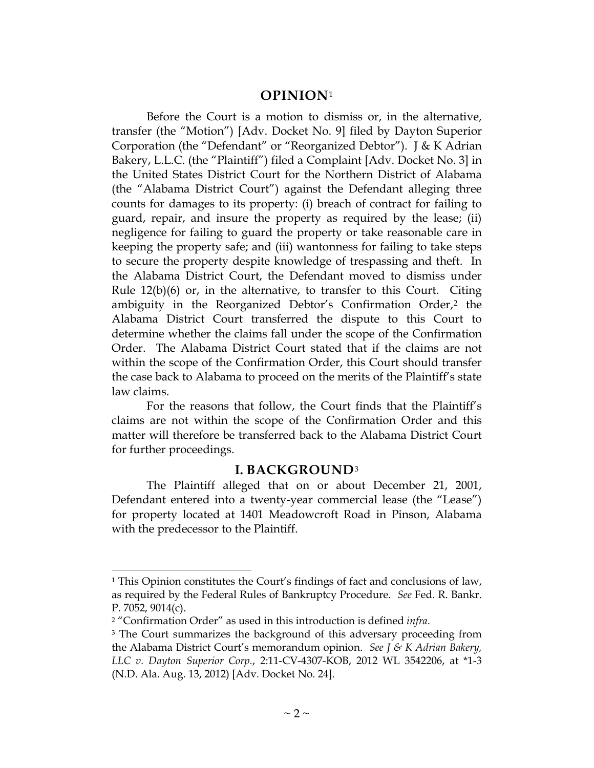#### **OPINION**[1](#page-1-0)

Before the Court is a motion to dismiss or, in the alternative, transfer (the "Motion") [Adv. Docket No. 9] filed by Dayton Superior Corporation (the "Defendant" or "Reorganized Debtor"). J & K Adrian Bakery, L.L.C. (the "Plaintiff") filed a Complaint [Adv. Docket No. 3] in the United States District Court for the Northern District of Alabama (the "Alabama District Court") against the Defendant alleging three counts for damages to its property: (i) breach of contract for failing to guard, repair, and insure the property as required by the lease; (ii) negligence for failing to guard the property or take reasonable care in keeping the property safe; and (iii) wantonness for failing to take steps to secure the property despite knowledge of trespassing and theft. In the Alabama District Court, the Defendant moved to dismiss under Rule 12(b)(6) or, in the alternative, to transfer to this Court. Citing ambiguity in the Reorganized Debtor's Confirmation Order,<sup>[2](#page-1-1)</sup> the Alabama District Court transferred the dispute to this Court to determine whether the claims fall under the scope of the Confirmation Order. The Alabama District Court stated that if the claims are not within the scope of the Confirmation Order, this Court should transfer the case back to Alabama to proceed on the merits of the Plaintiff's state law claims.

For the reasons that follow, the Court finds that the Plaintiff's claims are not within the scope of the Confirmation Order and this matter will therefore be transferred back to the Alabama District Court for further proceedings.

#### **I. BACKGROUND**[3](#page-1-2)

The Plaintiff alleged that on or about December 21, 2001, Defendant entered into a twenty-year commercial lease (the "Lease") for property located at 1401 Meadowcroft Road in Pinson, Alabama with the predecessor to the Plaintiff.

<span id="page-1-0"></span><sup>1</sup> This Opinion constitutes the Court's findings of fact and conclusions of law, as required by the Federal Rules of Bankruptcy Procedure. *See* Fed. R. Bankr. P. 7052, 9014(c).

<span id="page-1-1"></span><sup>2</sup> "Confirmation Order" as used in this introduction is defined *infra*.

<span id="page-1-2"></span><sup>&</sup>lt;sup>3</sup> The Court summarizes the background of this adversary proceeding from the Alabama District Court's memorandum opinion. *See J & K Adrian Bakery, LLC v. Dayton Superior Corp.*, 2:11-CV-4307-KOB, 2012 WL 3542206, at \*1-3 (N.D. Ala. Aug. 13, 2012) [Adv. Docket No. 24].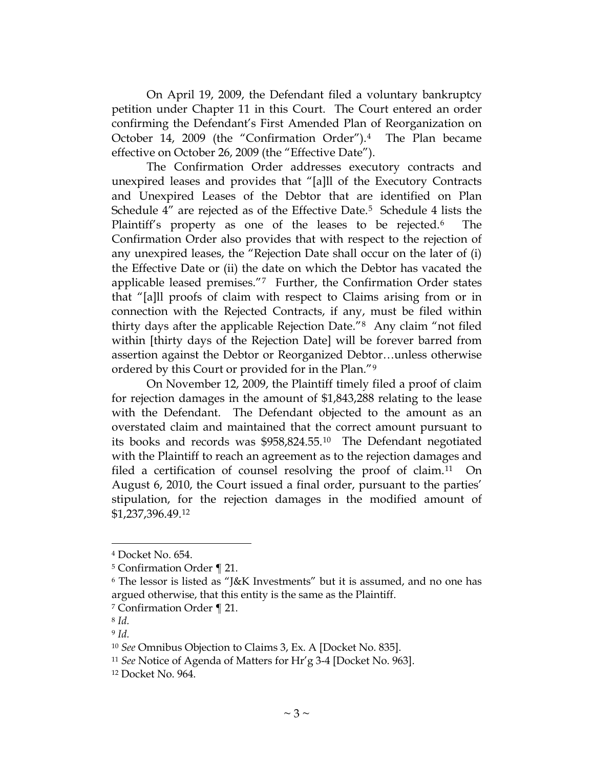On April 19, 2009, the Defendant filed a voluntary bankruptcy petition under Chapter 11 in this Court. The Court entered an order confirming the Defendant's First Amended Plan of Reorganization on October 14, 2009 (the "Confirmation Order").[4](#page-2-0) The Plan became effective on October 26, 2009 (the "Effective Date").

The Confirmation Order addresses executory contracts and unexpired leases and provides that "[a]ll of the Executory Contracts and Unexpired Leases of the Debtor that are identified on Plan Schedule 4" are rejected as of the Effective Date. [5](#page-2-1) Schedule 4 lists the Plaintiff's property as one of the leases to be rejected.<sup>[6](#page-2-2)</sup> The Confirmation Order also provides that with respect to the rejection of any unexpired leases, the "Rejection Date shall occur on the later of (i) the Effective Date or (ii) the date on which the Debtor has vacated the applicable leased premises."[7](#page-2-3) Further, the Confirmation Order states that "[a]ll proofs of claim with respect to Claims arising from or in connection with the Rejected Contracts, if any, must be filed within thirty days after the applicable Rejection Date."[8](#page-2-4) Any claim "not filed within [thirty days of the Rejection Date] will be forever barred from assertion against the Debtor or Reorganized Debtor…unless otherwise ordered by this Court or provided for in the Plan."[9](#page-2-5)

On November 12, 2009, the Plaintiff timely filed a proof of claim for rejection damages in the amount of \$1,843,288 relating to the lease with the Defendant. The Defendant objected to the amount as an overstated claim and maintained that the correct amount pursuant to its books and records was \$958,824.55.[10](#page-2-6) The Defendant negotiated with the Plaintiff to reach an agreement as to the rejection damages and filed a certification of counsel resolving the proof of claim.[11](#page-2-7) On August 6, 2010, the Court issued a final order, pursuant to the parties' stipulation, for the rejection damages in the modified amount of \$1,237,396.49.[12](#page-2-8)

<span id="page-2-0"></span><sup>4</sup> Docket No. 654.

<span id="page-2-1"></span><sup>5</sup> Confirmation Order ¶ 21.

<span id="page-2-2"></span><sup>6</sup> The lessor is listed as "J&K Investments" but it is assumed, and no one has argued otherwise, that this entity is the same as the Plaintiff.

<span id="page-2-3"></span><sup>7</sup> Confirmation Order ¶ 21.

<span id="page-2-4"></span><sup>8</sup> *Id.*

<span id="page-2-5"></span><sup>9</sup> *Id.*

<span id="page-2-6"></span><sup>10</sup> *See* Omnibus Objection to Claims 3, Ex. A [Docket No. 835].

<span id="page-2-7"></span><sup>11</sup> *See* Notice of Agenda of Matters for Hr'g 3-4 [Docket No. 963].

<span id="page-2-8"></span><sup>12</sup> Docket No. 964.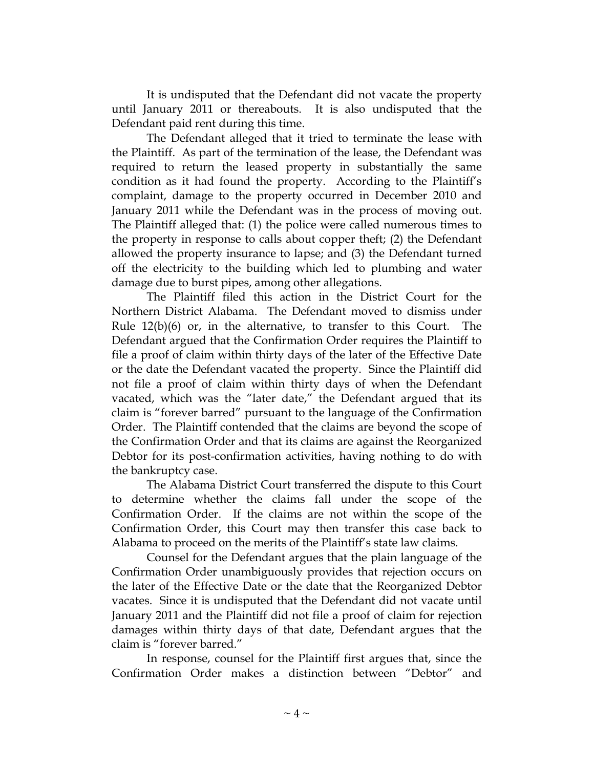It is undisputed that the Defendant did not vacate the property until January 2011 or thereabouts. It is also undisputed that the Defendant paid rent during this time.

The Defendant alleged that it tried to terminate the lease with the Plaintiff. As part of the termination of the lease, the Defendant was required to return the leased property in substantially the same condition as it had found the property. According to the Plaintiff's complaint, damage to the property occurred in December 2010 and January 2011 while the Defendant was in the process of moving out. The Plaintiff alleged that: (1) the police were called numerous times to the property in response to calls about copper theft; (2) the Defendant allowed the property insurance to lapse; and (3) the Defendant turned off the electricity to the building which led to plumbing and water damage due to burst pipes, among other allegations.

The Plaintiff filed this action in the District Court for the Northern District Alabama. The Defendant moved to dismiss under Rule 12(b)(6) or, in the alternative, to transfer to this Court. The Defendant argued that the Confirmation Order requires the Plaintiff to file a proof of claim within thirty days of the later of the Effective Date or the date the Defendant vacated the property. Since the Plaintiff did not file a proof of claim within thirty days of when the Defendant vacated, which was the "later date," the Defendant argued that its claim is "forever barred" pursuant to the language of the Confirmation Order. The Plaintiff contended that the claims are beyond the scope of the Confirmation Order and that its claims are against the Reorganized Debtor for its post-confirmation activities, having nothing to do with the bankruptcy case.

The Alabama District Court transferred the dispute to this Court to determine whether the claims fall under the scope of the Confirmation Order. If the claims are not within the scope of the Confirmation Order, this Court may then transfer this case back to Alabama to proceed on the merits of the Plaintiff's state law claims.

Counsel for the Defendant argues that the plain language of the Confirmation Order unambiguously provides that rejection occurs on the later of the Effective Date or the date that the Reorganized Debtor vacates. Since it is undisputed that the Defendant did not vacate until January 2011 and the Plaintiff did not file a proof of claim for rejection damages within thirty days of that date, Defendant argues that the claim is "forever barred."

In response, counsel for the Plaintiff first argues that, since the Confirmation Order makes a distinction between "Debtor" and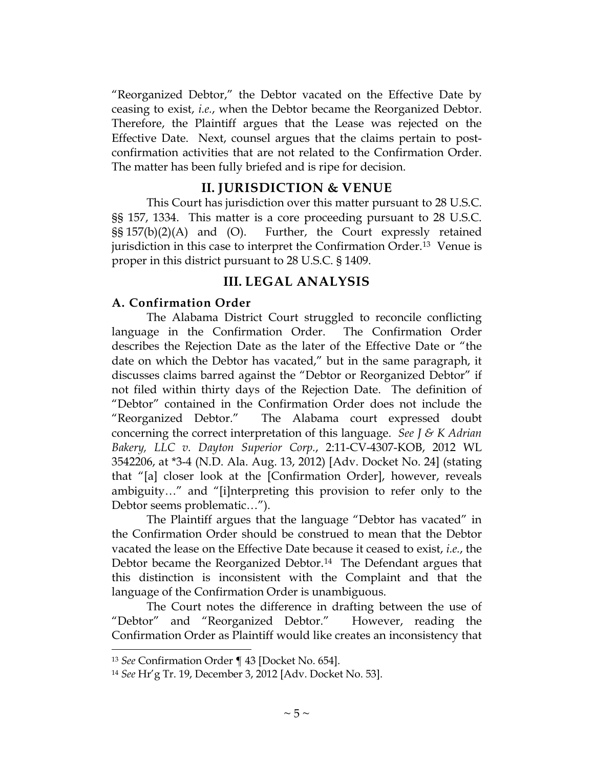"Reorganized Debtor," the Debtor vacated on the Effective Date by ceasing to exist, *i.e.*, when the Debtor became the Reorganized Debtor. Therefore, the Plaintiff argues that the Lease was rejected on the Effective Date. Next, counsel argues that the claims pertain to postconfirmation activities that are not related to the Confirmation Order. The matter has been fully briefed and is ripe for decision.

## **II. JURISDICTION & VENUE**

This Court has jurisdiction over this matter pursuant to 28 U.S.C. §§ 157, 1334. This matter is a core proceeding pursuant to 28 U.S.C. §§ 157(b)(2)(A) and (O). Further, the Court expressly retained jurisdiction in this case to interpret the Confirmation Order.[13](#page-4-0) Venue is proper in this district pursuant to 28 U.S.C. § 1409.

## **III. LEGAL ANALYSIS**

### **A. Confirmation Order**

The Alabama District Court struggled to reconcile conflicting language in the Confirmation Order. The Confirmation Order describes the Rejection Date as the later of the Effective Date or "the date on which the Debtor has vacated," but in the same paragraph, it discusses claims barred against the "Debtor or Reorganized Debtor" if not filed within thirty days of the Rejection Date. The definition of "Debtor" contained in the Confirmation Order does not include the "Reorganized Debtor." The Alabama court expressed doubt concerning the correct interpretation of this language. *See J & K Adrian Bakery, LLC v. Dayton Superior Corp.*, 2:11-CV-4307-KOB, 2012 WL 3542206, at \*3-4 (N.D. Ala. Aug. 13, 2012) [Adv. Docket No. 24] (stating that "[a] closer look at the [Confirmation Order], however, reveals ambiguity…" and "[i]nterpreting this provision to refer only to the Debtor seems problematic…").

The Plaintiff argues that the language "Debtor has vacated" in the Confirmation Order should be construed to mean that the Debtor vacated the lease on the Effective Date because it ceased to exist, *i.e.*, the Debtor became the Reorganized Debtor.<sup>[14](#page-4-1)</sup> The Defendant argues that this distinction is inconsistent with the Complaint and that the language of the Confirmation Order is unambiguous.

The Court notes the difference in drafting between the use of "Debtor" and "Reorganized Debtor." However, reading the Confirmation Order as Plaintiff would like creates an inconsistency that

<span id="page-4-0"></span><sup>13</sup> *See* Confirmation Order ¶ 43 [Docket No. 654].

<span id="page-4-1"></span><sup>14</sup> *See* Hr'g Tr. 19, December 3, 2012 [Adv. Docket No. 53].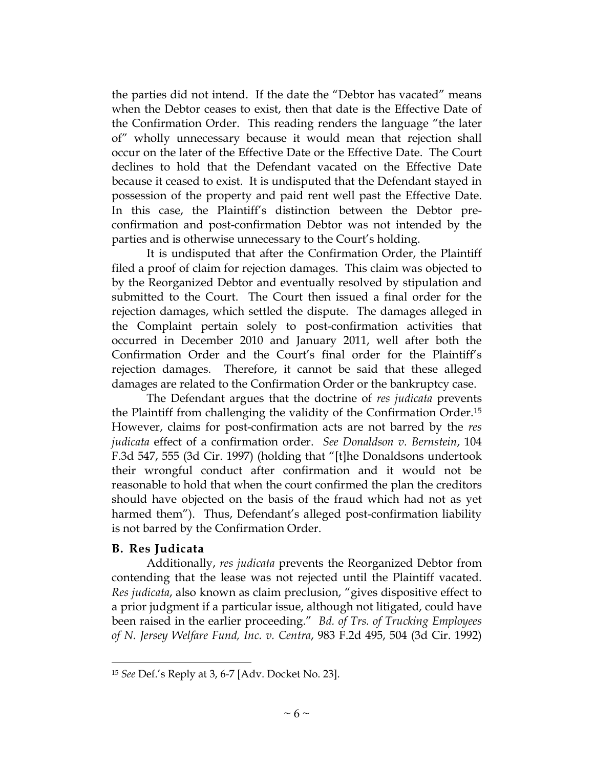the parties did not intend. If the date the "Debtor has vacated" means when the Debtor ceases to exist, then that date is the Effective Date of the Confirmation Order. This reading renders the language "the later of" wholly unnecessary because it would mean that rejection shall occur on the later of the Effective Date or the Effective Date. The Court declines to hold that the Defendant vacated on the Effective Date because it ceased to exist. It is undisputed that the Defendant stayed in possession of the property and paid rent well past the Effective Date. In this case, the Plaintiff's distinction between the Debtor preconfirmation and post-confirmation Debtor was not intended by the parties and is otherwise unnecessary to the Court's holding.

It is undisputed that after the Confirmation Order, the Plaintiff filed a proof of claim for rejection damages. This claim was objected to by the Reorganized Debtor and eventually resolved by stipulation and submitted to the Court. The Court then issued a final order for the rejection damages, which settled the dispute. The damages alleged in the Complaint pertain solely to post-confirmation activities that occurred in December 2010 and January 2011, well after both the Confirmation Order and the Court's final order for the Plaintiff's rejection damages. Therefore, it cannot be said that these alleged damages are related to the Confirmation Order or the bankruptcy case.

The Defendant argues that the doctrine of *res judicata* prevents the Plaintiff from challenging the validity of the Confirmation Order.[15](#page-5-0) However, claims for post-confirmation acts are not barred by the *res judicata* effect of a confirmation order. *See Donaldson v. Bernstein*, 104 F.3d 547, 555 (3d Cir. 1997) (holding that "[t]he Donaldsons undertook their wrongful conduct after confirmation and it would not be reasonable to hold that when the court confirmed the plan the creditors should have objected on the basis of the fraud which had not as yet harmed them"). Thus, Defendant's alleged post-confirmation liability is not barred by the Confirmation Order.

#### **B. Res Judicata**

 $\overline{a}$ 

Additionally, *res judicata* prevents the Reorganized Debtor from contending that the lease was not rejected until the Plaintiff vacated. *Res judicata*, also known as claim preclusion, "gives dispositive effect to a prior judgment if a particular issue, although not litigated, could have been raised in the earlier proceeding." *Bd. of Trs. of Trucking Employees of N. Jersey Welfare Fund, Inc. v. Centra*, 983 F.2d 495, 504 (3d Cir. 1992)

<span id="page-5-0"></span><sup>15</sup> *See* Def.'s Reply at 3, 6-7 [Adv. Docket No. 23].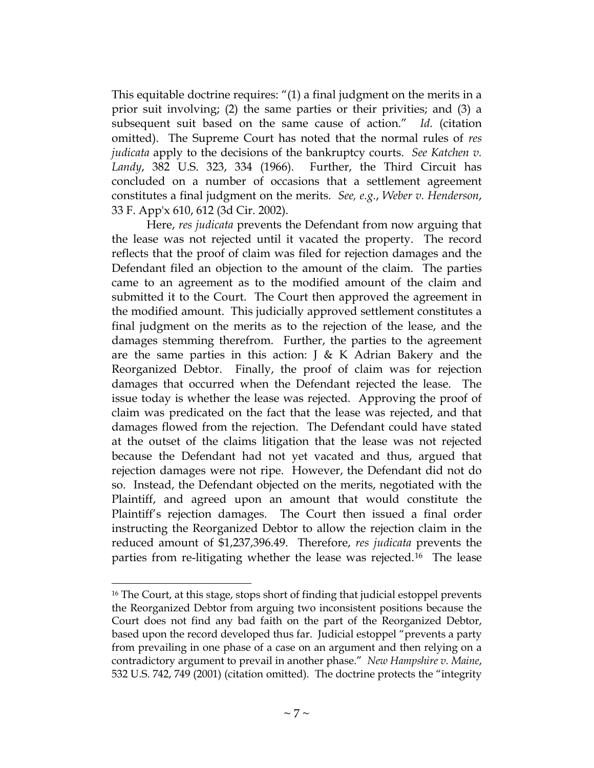This equitable doctrine requires: "(1) a final judgment on the merits in a prior suit involving; (2) the same parties or their privities; and (3) a subsequent suit based on the same cause of action." *Id.* (citation omitted). The Supreme Court has noted that the normal rules of *res judicata* apply to the decisions of the bankruptcy courts. *See Katchen v. Landy*, 382 U.S. 323, 334 (1966). Further, the Third Circuit has concluded on a number of occasions that a settlement agreement constitutes a final judgment on the merits. *See, e.g.*, *Weber v. Henderson*, 33 F. App'x 610, 612 (3d Cir. 2002).

Here, *res judicata* prevents the Defendant from now arguing that the lease was not rejected until it vacated the property. The record reflects that the proof of claim was filed for rejection damages and the Defendant filed an objection to the amount of the claim. The parties came to an agreement as to the modified amount of the claim and submitted it to the Court. The Court then approved the agreement in the modified amount. This judicially approved settlement constitutes a final judgment on the merits as to the rejection of the lease, and the damages stemming therefrom. Further, the parties to the agreement are the same parties in this action:  $J \& K$  Adrian Bakery and the Reorganized Debtor. Finally, the proof of claim was for rejection damages that occurred when the Defendant rejected the lease. The issue today is whether the lease was rejected. Approving the proof of claim was predicated on the fact that the lease was rejected, and that damages flowed from the rejection. The Defendant could have stated at the outset of the claims litigation that the lease was not rejected because the Defendant had not yet vacated and thus, argued that rejection damages were not ripe. However, the Defendant did not do so. Instead, the Defendant objected on the merits, negotiated with the Plaintiff, and agreed upon an amount that would constitute the Plaintiff's rejection damages. The Court then issued a final order instructing the Reorganized Debtor to allow the rejection claim in the reduced amount of \$1,237,396.49. Therefore, *res judicata* prevents the parties from re-litigating whether the lease was rejected.[16](#page-6-0) The lease

<span id="page-6-0"></span><sup>16</sup> The Court, at this stage, stops short of finding that judicial estoppel prevents the Reorganized Debtor from arguing two inconsistent positions because the Court does not find any bad faith on the part of the Reorganized Debtor, based upon the record developed thus far. Judicial estoppel "prevents a party from prevailing in one phase of a case on an argument and then relying on a contradictory argument to prevail in another phase." *New Hampshire v. Maine*, 532 U.S. 742, 749 (2001) (citation omitted). The doctrine protects the "integrity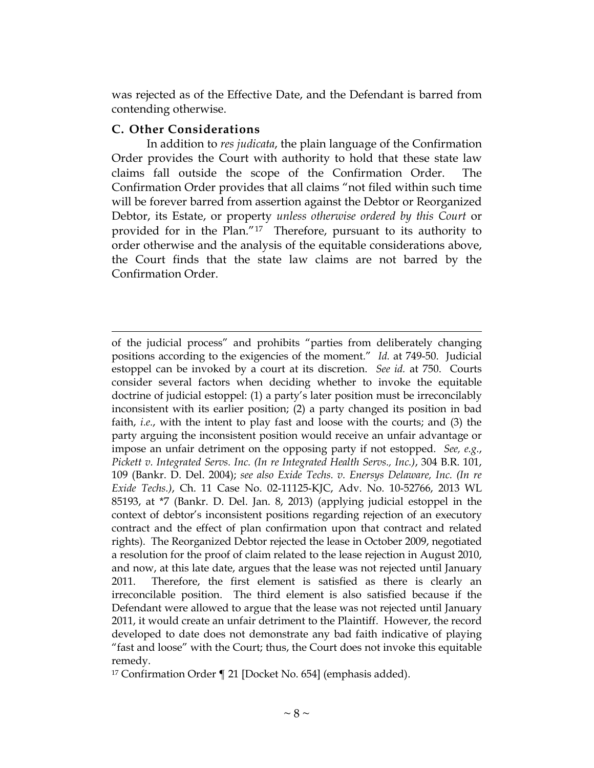was rejected as of the Effective Date, and the Defendant is barred from contending otherwise.

## **C. Other Considerations**

In addition to *res judicata*, the plain language of the Confirmation Order provides the Court with authority to hold that these state law claims fall outside the scope of the Confirmation Order. The Confirmation Order provides that all claims "not filed within such time will be forever barred from assertion against the Debtor or Reorganized Debtor, its Estate, or property *unless otherwise ordered by this Court* or provided for in the Plan."[17](#page-7-0) Therefore, pursuant to its authority to order otherwise and the analysis of the equitable considerations above, the Court finds that the state law claims are not barred by the Confirmation Order.

 $\overline{a}$ of the judicial process" and prohibits "parties from deliberately changing positions according to the exigencies of the moment." *Id.* at 749-50. Judicial estoppel can be invoked by a court at its discretion. *See id.* at 750. Courts consider several factors when deciding whether to invoke the equitable doctrine of judicial estoppel: (1) a party's later position must be irreconcilably inconsistent with its earlier position; (2) a party changed its position in bad faith, *i.e.*, with the intent to play fast and loose with the courts; and (3) the party arguing the inconsistent position would receive an unfair advantage or impose an unfair detriment on the opposing party if not estopped. *See, e.g.*, *Pickett v. Integrated Servs. Inc. (In re Integrated Health Servs., Inc.)*, 304 B.R. 101, 109 (Bankr. D. Del. 2004); *see also Exide Techs. v. Enersys Delaware, Inc. (In re Exide Techs.)*, Ch. 11 Case No. 02-11125-KJC, Adv. No. 10-52766, 2013 WL 85193, at \*7 (Bankr. D. Del. Jan. 8, 2013) (applying judicial estoppel in the context of debtor's inconsistent positions regarding rejection of an executory contract and the effect of plan confirmation upon that contract and related rights). The Reorganized Debtor rejected the lease in October 2009, negotiated a resolution for the proof of claim related to the lease rejection in August 2010, and now, at this late date, argues that the lease was not rejected until January 2011. Therefore, the first element is satisfied as there is clearly an irreconcilable position. The third element is also satisfied because if the Defendant were allowed to argue that the lease was not rejected until January 2011, it would create an unfair detriment to the Plaintiff. However, the record developed to date does not demonstrate any bad faith indicative of playing "fast and loose" with the Court; thus, the Court does not invoke this equitable remedy.

<span id="page-7-0"></span><sup>17</sup> Confirmation Order ¶ 21 [Docket No. 654] (emphasis added).